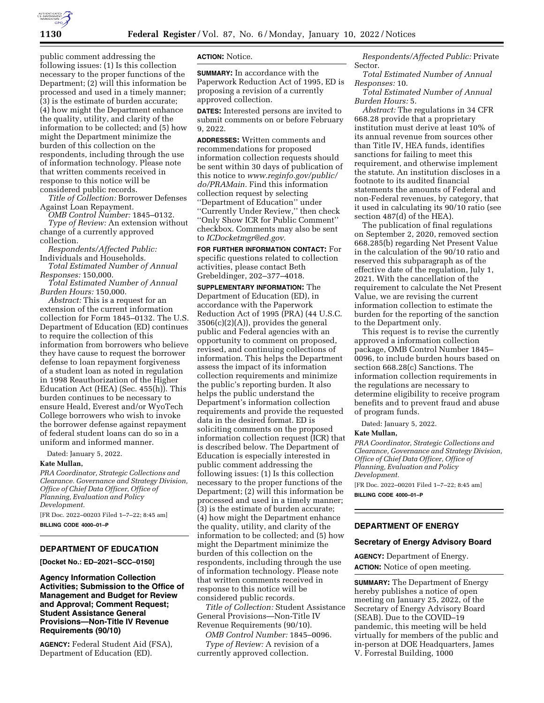

public comment addressing the following issues: (1) Is this collection necessary to the proper functions of the Department; (2) will this information be processed and used in a timely manner; (3) is the estimate of burden accurate; (4) how might the Department enhance the quality, utility, and clarity of the information to be collected; and (5) how might the Department minimize the burden of this collection on the respondents, including through the use of information technology. Please note that written comments received in response to this notice will be considered public records.

*Title of Collection:* Borrower Defenses Against Loan Repayment.

*OMB Control Number:* 1845–0132.

*Type of Review:* An extension without change of a currently approved collection.

*Respondents/Affected Public:*  Individuals and Households.

*Total Estimated Number of Annual Responses:* 150,000.

*Total Estimated Number of Annual Burden Hours:* 150,000.

*Abstract:* This is a request for an extension of the current information collection for Form 1845–0132. The U.S. Department of Education (ED) continues to require the collection of this information from borrowers who believe they have cause to request the borrower defense to loan repayment forgiveness of a student loan as noted in regulation in 1998 Reauthorization of the Higher Education Act (HEA) (Sec. 455(h)). This burden continues to be necessary to ensure Heald, Everest and/or WyoTech College borrowers who wish to invoke the borrower defense against repayment of federal student loans can do so in a uniform and informed manner.

Dated: January 5, 2022.

#### **Kate Mullan,**

*PRA Coordinator, Strategic Collections and Clearance. Governance and Strategy Division, Office of Chief Data Officer, Office of Planning, Evaluation and Policy Development.* 

[FR Doc. 2022–00203 Filed 1–7–22; 8:45 am] **BILLING CODE 4000–01–P** 

# **DEPARTMENT OF EDUCATION**

**[Docket No.: ED–2021–SCC–0150]** 

**Agency Information Collection Activities; Submission to the Office of Management and Budget for Review and Approval; Comment Request; Student Assistance General Provisions—Non-Title IV Revenue Requirements (90/10)** 

**AGENCY:** Federal Student Aid (FSA), Department of Education (ED).

# **ACTION:** Notice.

**SUMMARY:** In accordance with the Paperwork Reduction Act of 1995, ED is proposing a revision of a currently approved collection.

**DATES:** Interested persons are invited to submit comments on or before February 9, 2022.

**ADDRESSES:** Written comments and recommendations for proposed information collection requests should be sent within 30 days of publication of this notice to *[www.reginfo.gov/public/](http://www.reginfo.gov/public/do/PRAMain) [do/PRAMain.](http://www.reginfo.gov/public/do/PRAMain)* Find this information collection request by selecting ''Department of Education'' under ''Currently Under Review,'' then check ''Only Show ICR for Public Comment'' checkbox. Comments may also be sent to *[ICDocketmgr@ed.gov.](mailto:ICDocketmgr@ed.gov)* 

**FOR FURTHER INFORMATION CONTACT:** For specific questions related to collection activities, please contact Beth Grebeldinger, 202–377–4018.

**SUPPLEMENTARY INFORMATION:** The Department of Education (ED), in accordance with the Paperwork Reduction Act of 1995 (PRA) (44 U.S.C.  $3506(c)(2)(A)$ , provides the general public and Federal agencies with an opportunity to comment on proposed, revised, and continuing collections of information. This helps the Department assess the impact of its information collection requirements and minimize the public's reporting burden. It also helps the public understand the Department's information collection requirements and provide the requested data in the desired format. ED is soliciting comments on the proposed information collection request (ICR) that is described below. The Department of Education is especially interested in public comment addressing the following issues: (1) Is this collection necessary to the proper functions of the Department; (2) will this information be processed and used in a timely manner; (3) is the estimate of burden accurate; (4) how might the Department enhance the quality, utility, and clarity of the information to be collected; and (5) how might the Department minimize the burden of this collection on the respondents, including through the use of information technology. Please note that written comments received in response to this notice will be considered public records.

*Title of Collection:* Student Assistance General Provisions—Non-Title IV Revenue Requirements (90/10).

*OMB Control Number:* 1845–0096. *Type of Review:* A revision of a currently approved collection.

*Respondents/Affected Public:* Private Sector.

*Total Estimated Number of Annual Responses:* 10.

*Total Estimated Number of Annual Burden Hours:* 5.

*Abstract:* The regulations in 34 CFR 668.28 provide that a proprietary institution must derive at least 10% of its annual revenue from sources other than Title IV, HEA funds, identifies sanctions for failing to meet this requirement, and otherwise implement the statute. An institution discloses in a footnote to its audited financial statements the amounts of Federal and non-Federal revenues, by category, that it used in calculating its 90/10 ratio (see section 487(d) of the HEA).

The publication of final regulations on September 2, 2020, removed section 668.285(b) regarding Net Present Value in the calculation of the 90/10 ratio and reserved this subparagraph as of the effective date of the regulation, July 1, 2021. With the cancellation of the requirement to calculate the Net Present Value, we are revising the current information collection to estimate the burden for the reporting of the sanction to the Department only.

This request is to revise the currently approved a information collection package, OMB Control Number 1845– 0096, to include burden hours based on section 668.28(c) Sanctions. The information collection requirements in the regulations are necessary to determine eligibility to receive program benefits and to prevent fraud and abuse of program funds.

Dated: January 5, 2022.

## **Kate Mullan,**

*PRA Coordinator, Strategic Collections and Clearance, Governance and Strategy Division, Office of Chief Data Officer, Office of Planning, Evaluation and Policy Development.* 

[FR Doc. 2022–00201 Filed 1–7–22; 8:45 am] **BILLING CODE 4000–01–P** 

## **DEPARTMENT OF ENERGY**

### **Secretary of Energy Advisory Board**

**AGENCY:** Department of Energy. **ACTION:** Notice of open meeting.

**SUMMARY:** The Department of Energy hereby publishes a notice of open meeting on January 25, 2022, of the Secretary of Energy Advisory Board (SEAB). Due to the COVID–19 pandemic, this meeting will be held virtually for members of the public and in-person at DOE Headquarters, James V. Forrestal Building, 1000